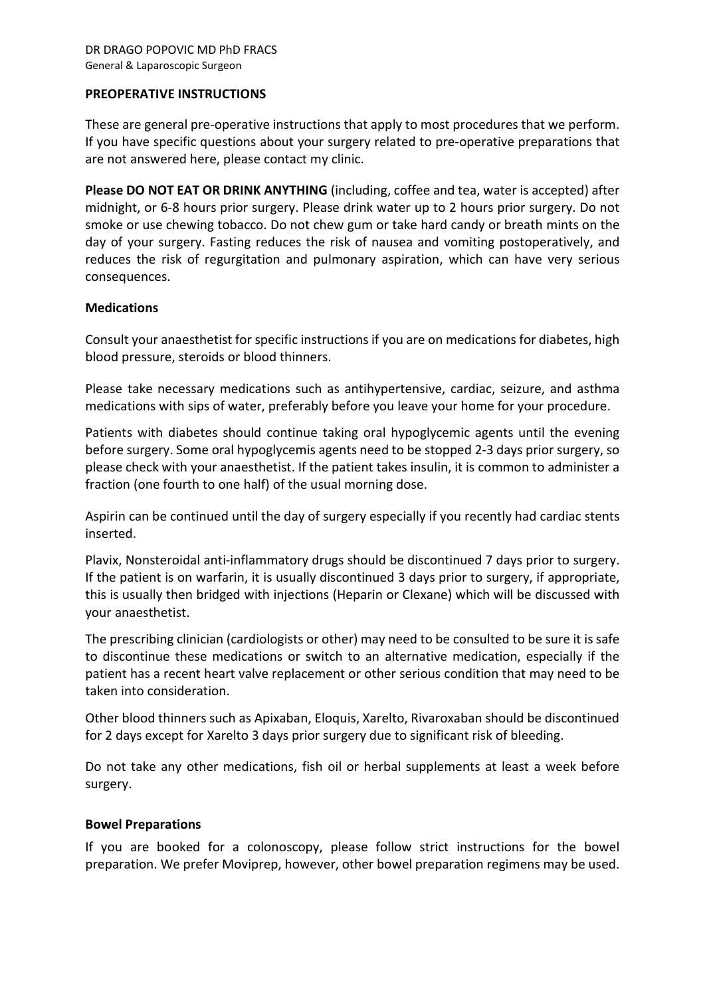### PREOPERATIVE INSTRUCTIONS

These are general pre-operative instructions that apply to most procedures that we perform. If you have specific questions about your surgery related to pre-operative preparations that are not answered here, please contact my clinic.

Please DO NOT EAT OR DRINK ANYTHING (including, coffee and tea, water is accepted) after midnight, or 6-8 hours prior surgery. Please drink water up to 2 hours prior surgery. Do not smoke or use chewing tobacco. Do not chew gum or take hard candy or breath mints on the day of your surgery. Fasting reduces the risk of nausea and vomiting postoperatively, and reduces the risk of regurgitation and pulmonary aspiration, which can have very serious consequences.

## **Medications**

Consult your anaesthetist for specific instructions if you are on medications for diabetes, high blood pressure, steroids or blood thinners.

Please take necessary medications such as antihypertensive, cardiac, seizure, and asthma medications with sips of water, preferably before you leave your home for your procedure.

Patients with diabetes should continue taking oral hypoglycemic agents until the evening before surgery. Some oral hypoglycemis agents need to be stopped 2-3 days prior surgery, so please check with your anaesthetist. If the patient takes insulin, it is common to administer a fraction (one fourth to one half) of the usual morning dose.

Aspirin can be continued until the day of surgery especially if you recently had cardiac stents inserted.

Plavix, Nonsteroidal anti-inflammatory drugs should be discontinued 7 days prior to surgery. If the patient is on warfarin, it is usually discontinued 3 days prior to surgery, if appropriate, this is usually then bridged with injections (Heparin or Clexane) which will be discussed with your anaesthetist.

The prescribing clinician (cardiologists or other) may need to be consulted to be sure it is safe to discontinue these medications or switch to an alternative medication, especially if the patient has a recent heart valve replacement or other serious condition that may need to be taken into consideration.

Other blood thinners such as Apixaban, Eloquis, Xarelto, Rivaroxaban should be discontinued for 2 days except for Xarelto 3 days prior surgery due to significant risk of bleeding.

Do not take any other medications, fish oil or herbal supplements at least a week before surgery.

### Bowel Preparations

If you are booked for a colonoscopy, please follow strict instructions for the bowel preparation. We prefer Moviprep, however, other bowel preparation regimens may be used.